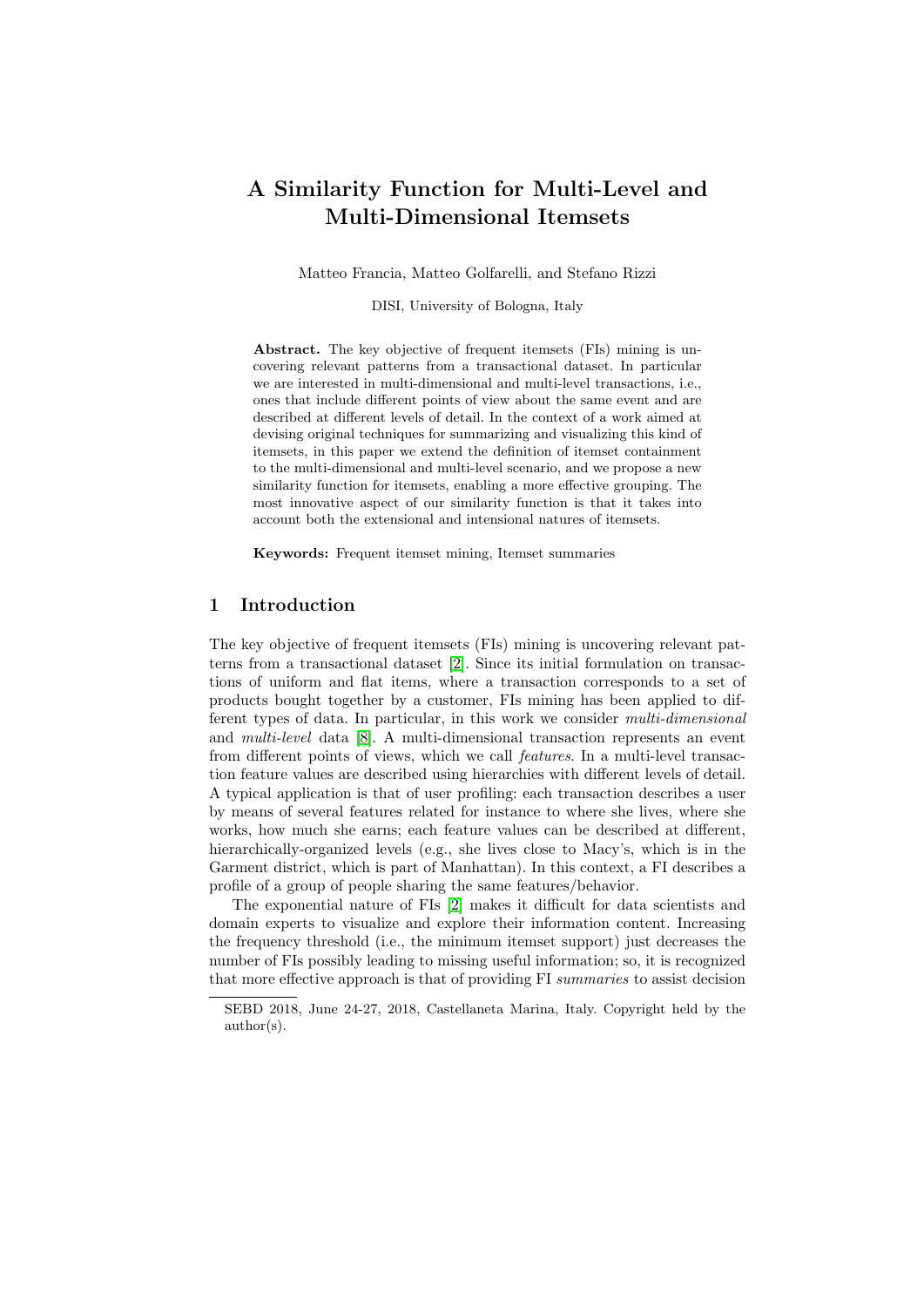# A Similarity Function for Multi-Level and Multi-Dimensional Itemsets

Matteo Francia, Matteo Golfarelli, and Stefano Rizzi

DISI, University of Bologna, Italy

Abstract. The key objective of frequent itemsets (FIs) mining is uncovering relevant patterns from a transactional dataset. In particular we are interested in multi-dimensional and multi-level transactions, i.e., ones that include different points of view about the same event and are described at different levels of detail. In the context of a work aimed at devising original techniques for summarizing and visualizing this kind of itemsets, in this paper we extend the definition of itemset containment to the multi-dimensional and multi-level scenario, and we propose a new similarity function for itemsets, enabling a more effective grouping. The most innovative aspect of our similarity function is that it takes into account both the extensional and intensional natures of itemsets.

Keywords: Frequent itemset mining, Itemset summaries

## 1 Introduction

The key objective of frequent itemsets (FIs) mining is uncovering relevant patterns from a transactional dataset [\[2\]](#page-7-0). Since its initial formulation on transactions of uniform and flat items, where a transaction corresponds to a set of products bought together by a customer, FIs mining has been applied to different types of data. In particular, in this work we consider multi-dimensional and multi-level data [\[8\]](#page-7-1). A multi-dimensional transaction represents an event from different points of views, which we call features. In a multi-level transaction feature values are described using hierarchies with different levels of detail. A typical application is that of user profiling: each transaction describes a user by means of several features related for instance to where she lives, where she works, how much she earns; each feature values can be described at different, hierarchically-organized levels (e.g., she lives close to Macy's, which is in the Garment district, which is part of Manhattan). In this context, a FI describes a profile of a group of people sharing the same features/behavior.

The exponential nature of FIs [\[2\]](#page-7-0) makes it difficult for data scientists and domain experts to visualize and explore their information content. Increasing the frequency threshold (i.e., the minimum itemset support) just decreases the number of FIs possibly leading to missing useful information; so, it is recognized that more effective approach is that of providing FI summaries to assist decision

SEBD 2018, June 24-27, 2018, Castellaneta Marina, Italy. Copyright held by the author(s).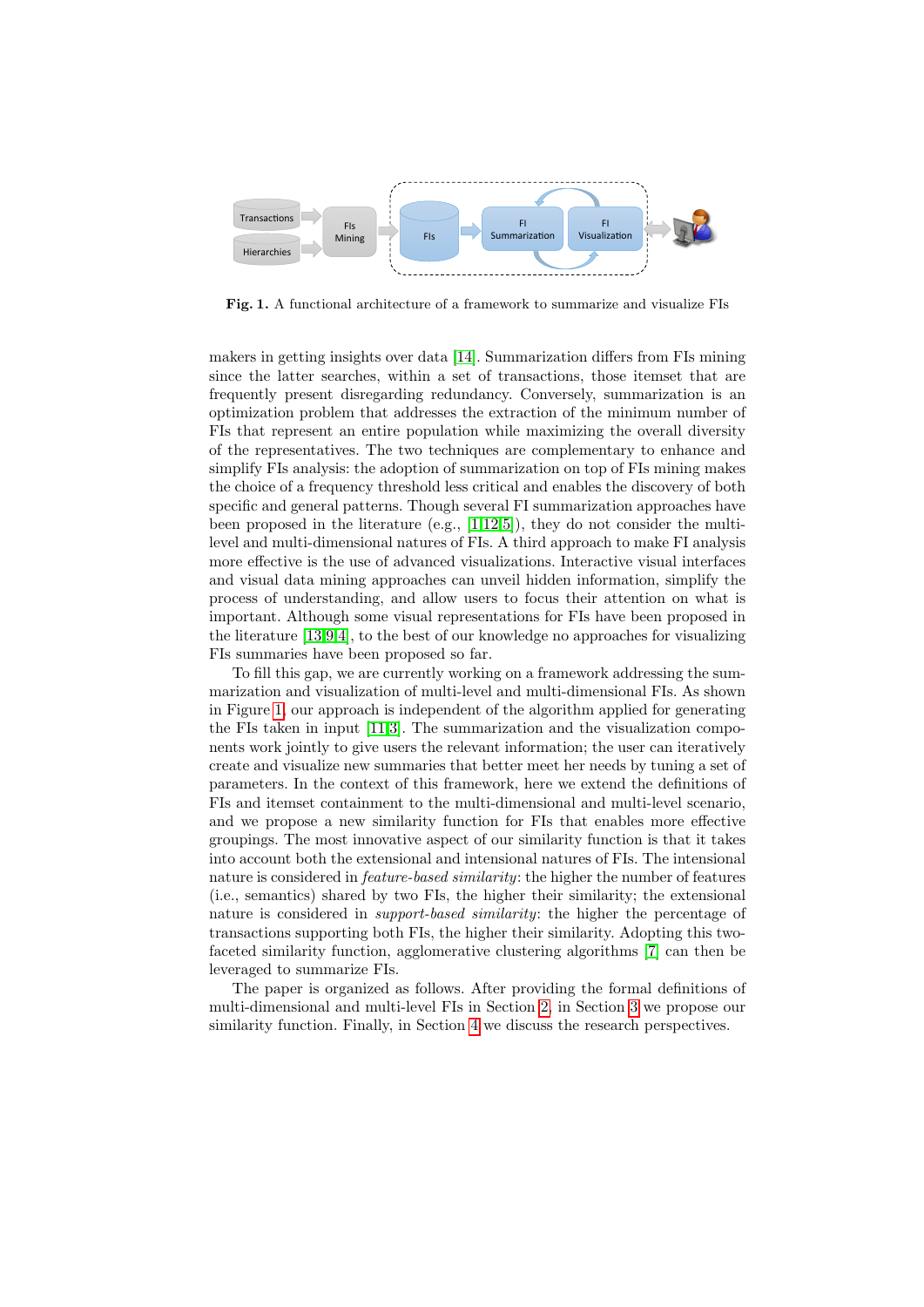

<span id="page-1-0"></span>Fig. 1. A functional architecture of a framework to summarize and visualize FIs

makers in getting insights over data [\[14\]](#page-7-2). Summarization differs from FIs mining since the latter searches, within a set of transactions, those itemset that are frequently present disregarding redundancy. Conversely, summarization is an optimization problem that addresses the extraction of the minimum number of FIs that represent an entire population while maximizing the overall diversity of the representatives. The two techniques are complementary to enhance and simplify FIs analysis: the adoption of summarization on top of FIs mining makes the choice of a frequency threshold less critical and enables the discovery of both specific and general patterns. Though several FI summarization approaches have been proposed in the literature (e.g., [\[1,](#page-6-0)[12,](#page-7-3)[5\]](#page-7-4)), they do not consider the multilevel and multi-dimensional natures of FIs. A third approach to make FI analysis more effective is the use of advanced visualizations. Interactive visual interfaces and visual data mining approaches can unveil hidden information, simplify the process of understanding, and allow users to focus their attention on what is important. Although some visual representations for FIs have been proposed in the literature [\[13](#page-7-5)[,9,](#page-7-6)[4\]](#page-7-7), to the best of our knowledge no approaches for visualizing FIs summaries have been proposed so far.

To fill this gap, we are currently working on a framework addressing the summarization and visualization of multi-level and multi-dimensional FIs. As shown in Figure [1,](#page-1-0) our approach is independent of the algorithm applied for generating the FIs taken in input [\[11](#page-7-8)[,3\]](#page-7-9). The summarization and the visualization components work jointly to give users the relevant information; the user can iteratively create and visualize new summaries that better meet her needs by tuning a set of parameters. In the context of this framework, here we extend the definitions of FIs and itemset containment to the multi-dimensional and multi-level scenario, and we propose a new similarity function for FIs that enables more effective groupings. The most innovative aspect of our similarity function is that it takes into account both the extensional and intensional natures of FIs. The intensional nature is considered in *feature-based similarity*: the higher the number of features (i.e., semantics) shared by two FIs, the higher their similarity; the extensional nature is considered in *support-based similarity*: the higher the percentage of transactions supporting both FIs, the higher their similarity. Adopting this twofaceted similarity function, agglomerative clustering algorithms [\[7\]](#page-7-10) can then be leveraged to summarize FIs.

The paper is organized as follows. After providing the formal definitions of multi-dimensional and multi-level FIs in Section [2,](#page-2-0) in Section [3](#page-4-0) we propose our similarity function. Finally, in Section [4](#page-5-0) we discuss the research perspectives.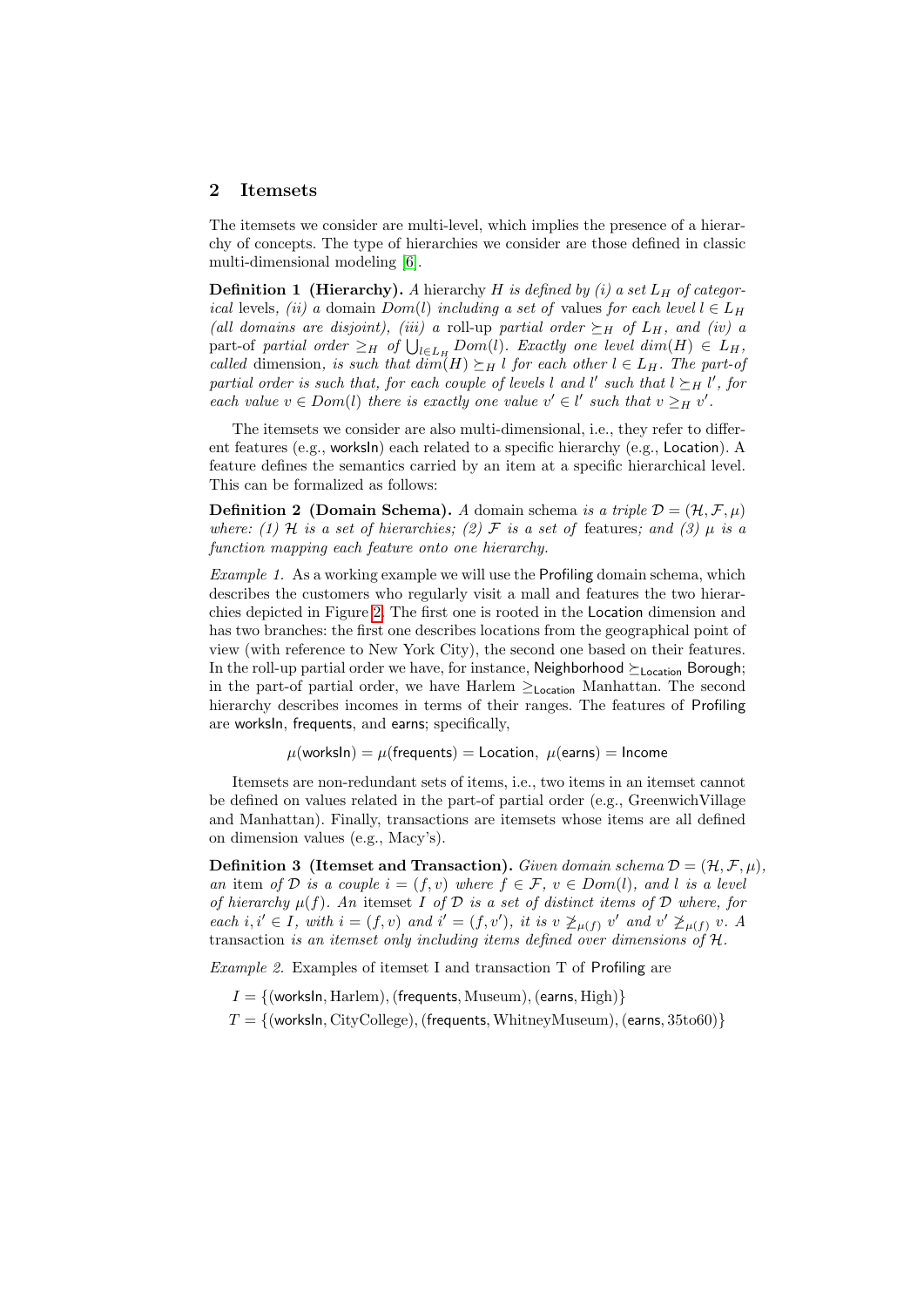#### <span id="page-2-0"></span>2 Itemsets

The itemsets we consider are multi-level, which implies the presence of a hierarchy of concepts. The type of hierarchies we consider are those defined in classic multi-dimensional modeling [\[6\]](#page-7-11).

**Definition 1 (Hierarchy).** A hierarchy H is defined by (i) a set  $L_H$  of categorical levels, (ii) a domain  $Dom(l)$  including a set of values for each level  $l \in L_H$ (all domains are disjoint), (iii) a roll-up partial order  $\succeq_H$  of  $L_H$ , and (iv) a part-of partial order  $\geq_H$  of  $\bigcup_{l\in L_H} Dom(l)$ . Exactly one level  $dim(H) \in L_H$ , called dimension, is such that  $dim(H) \succeq_H l$  for each other  $l \in L_H$ . The part-of partial order is such that, for each couple of levels l and l' such that  $l \succeq_H l'$ , for each value  $v \in Dom(l)$  there is exactly one value  $v' \in l'$  such that  $v \geq_H v'$ .

The itemsets we consider are also multi-dimensional, i.e., they refer to different features (e.g., worksIn) each related to a specific hierarchy (e.g., Location). A feature defines the semantics carried by an item at a specific hierarchical level. This can be formalized as follows:

**Definition 2 (Domain Schema).** A domain schema is a triple  $\mathcal{D} = (\mathcal{H}, \mathcal{F}, \mu)$ where: (1) H is a set of hierarchies; (2) F is a set of features; and (3)  $\mu$  is a function mapping each feature onto one hierarchy.

Example 1. As a working example we will use the Profiling domain schema, which describes the customers who regularly visit a mall and features the two hierarchies depicted in Figure [2.](#page-3-0) The first one is rooted in the Location dimension and has two branches: the first one describes locations from the geographical point of view (with reference to New York City), the second one based on their features. In the roll-up partial order we have, for instance, Neighborhood  $\succeq_{\text{Location}}$  Borough; in the part-of partial order, we have Harlem ≥Location Manhattan. The second hierarchy describes incomes in terms of their ranges. The features of Profiling are worksIn, frequents, and earns; specifically,

 $\mu(\text{work} \text{sin}) = \mu(\text{frequently}) = \text{Location}, \mu(\text{earns}) = \text{Income}$ 

Itemsets are non-redundant sets of items, i.e., two items in an itemset cannot be defined on values related in the part-of partial order (e.g., GreenwichVillage and Manhattan). Finally, transactions are itemsets whose items are all defined on dimension values (e.g., Macy's).

**Definition 3** (Itemset and Transaction). Given domain schema  $\mathcal{D} = (\mathcal{H}, \mathcal{F}, \mu)$ , an item of D is a couple  $i = (f, v)$  where  $f \in \mathcal{F}$ ,  $v \in Dom(l)$ , and l is a level of hierarchy  $\mu(f)$ . An itemset I of D is a set of distinct items of D where, for each i, i'  $\in I$ , with  $i = (f, v)$  and  $i' = (f, v')$ , it is  $v \not\geq_{\mu(f)} v'$  and  $v' \not\geq_{\mu(f)} v$ . A transaction is an itemset only including items defined over dimensions of H.

<span id="page-2-1"></span>Example 2. Examples of itemset I and transaction T of Profiling are

 $I = \{$ (worksln, Harlem), (frequents, Museum), (earns, High) $\}$ 

 $T = \{$ (worksln, CityCollege), (frequents, WhitneyMuseum), (earns, 35to60)}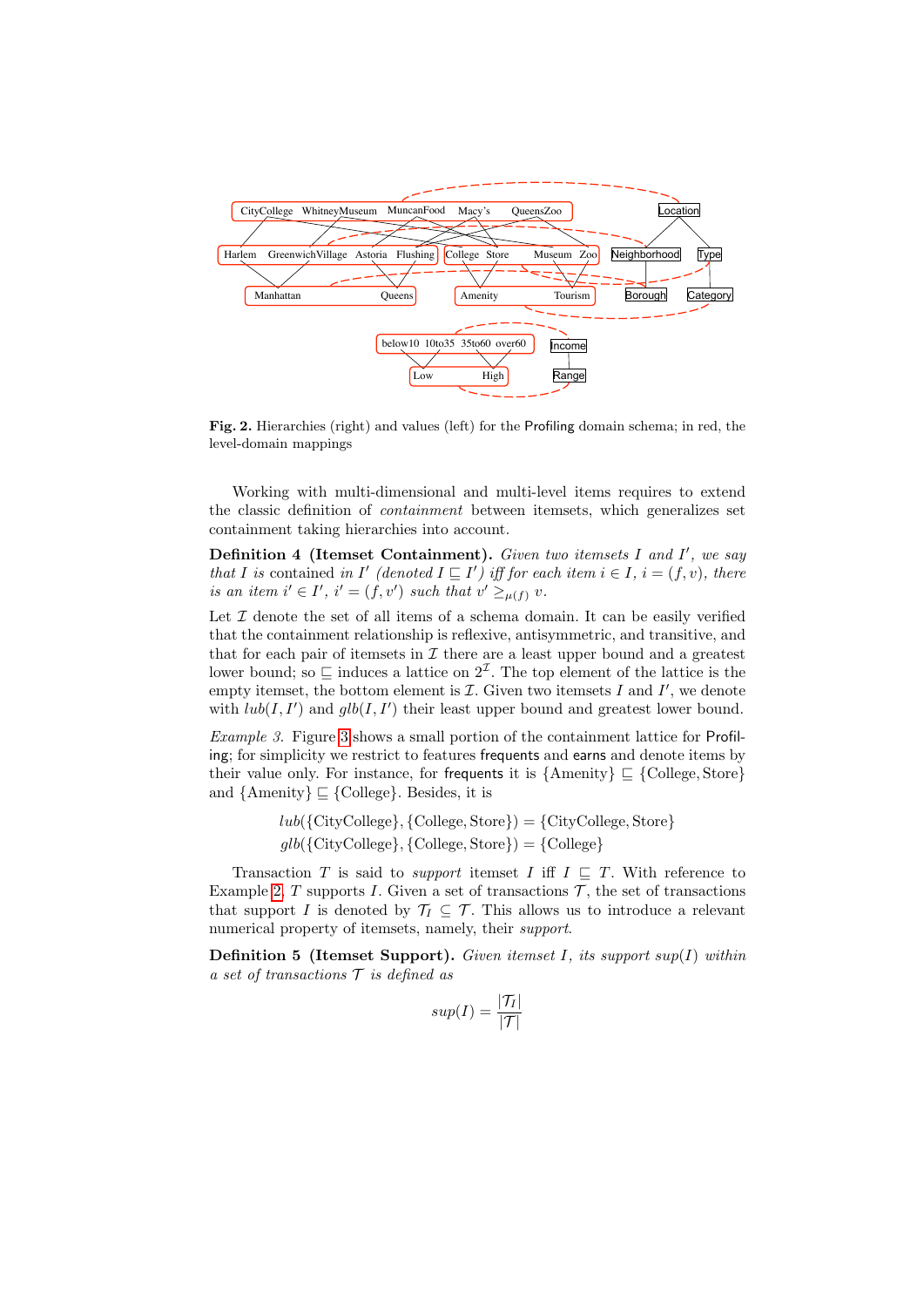

<span id="page-3-0"></span>Fig. 2. Hierarchies (right) and values (left) for the Profiling domain schema; in red, the level-domain mappings

Working with multi-dimensional and multi-level items requires to extend the classic definition of containment between itemsets, which generalizes set containment taking hierarchies into account.

Definition 4 (Itemset Containment). Given two itemsets I and I', we say that I is contained in I' (denoted  $I \sqsubseteq I'$ ) iff for each item  $i \in I$ ,  $i = (f, v)$ , there is an item  $i' \in I'$ ,  $i' = (f, v')$  such that  $v' \geq_{\mu(f)} v$ .

Let  $\mathcal I$  denote the set of all items of a schema domain. It can be easily verified that the containment relationship is reflexive, antisymmetric, and transitive, and that for each pair of itemsets in  $\mathcal I$  there are a least upper bound and a greatest lower bound; so  $\subseteq$  induces a lattice on  $2^{\mathcal{I}}$ . The top element of the lattice is the empty itemset, the bottom element is  $\mathcal I$ . Given two itemsets  $I$  and  $I'$ , we denote with  $lub(I, I')$  and  $glb(I, I')$  their least upper bound and greatest lower bound.

Example 3. Figure [3](#page-4-1) shows a small portion of the containment lattice for Profiling; for simplicity we restrict to features frequents and earns and denote items by their value only. For instance, for frequents it is  $\{\text{Amenty}\}\subseteq \{\text{Collect, Store}\}\$ and  $\{\text{Amenity}\}\sqsubseteq \{\text{Collect}\}.$  Besides, it is

> $lub({City} College), {College, Store}) = {City} College, Store}$  $qlb({\{CityCollect}\}, {\{Collect, Store\}}) = {\{Collect\}}$

Transaction T is said to *support* itemset I iff  $I \subseteq T$ . With reference to Example [2,](#page-2-1) T supports I. Given a set of transactions  $\mathcal{T}$ , the set of transactions that support I is denoted by  $\mathcal{T}_I \subseteq \mathcal{T}$ . This allows us to introduce a relevant numerical property of itemsets, namely, their *support*.

**Definition 5 (Itemset Support).** Given itemset I, its support sup(I) within a set of transactions  $\mathcal T$  is defined as

$$
sup(I) = \frac{|\mathcal{T}_I|}{|\mathcal{T}|}
$$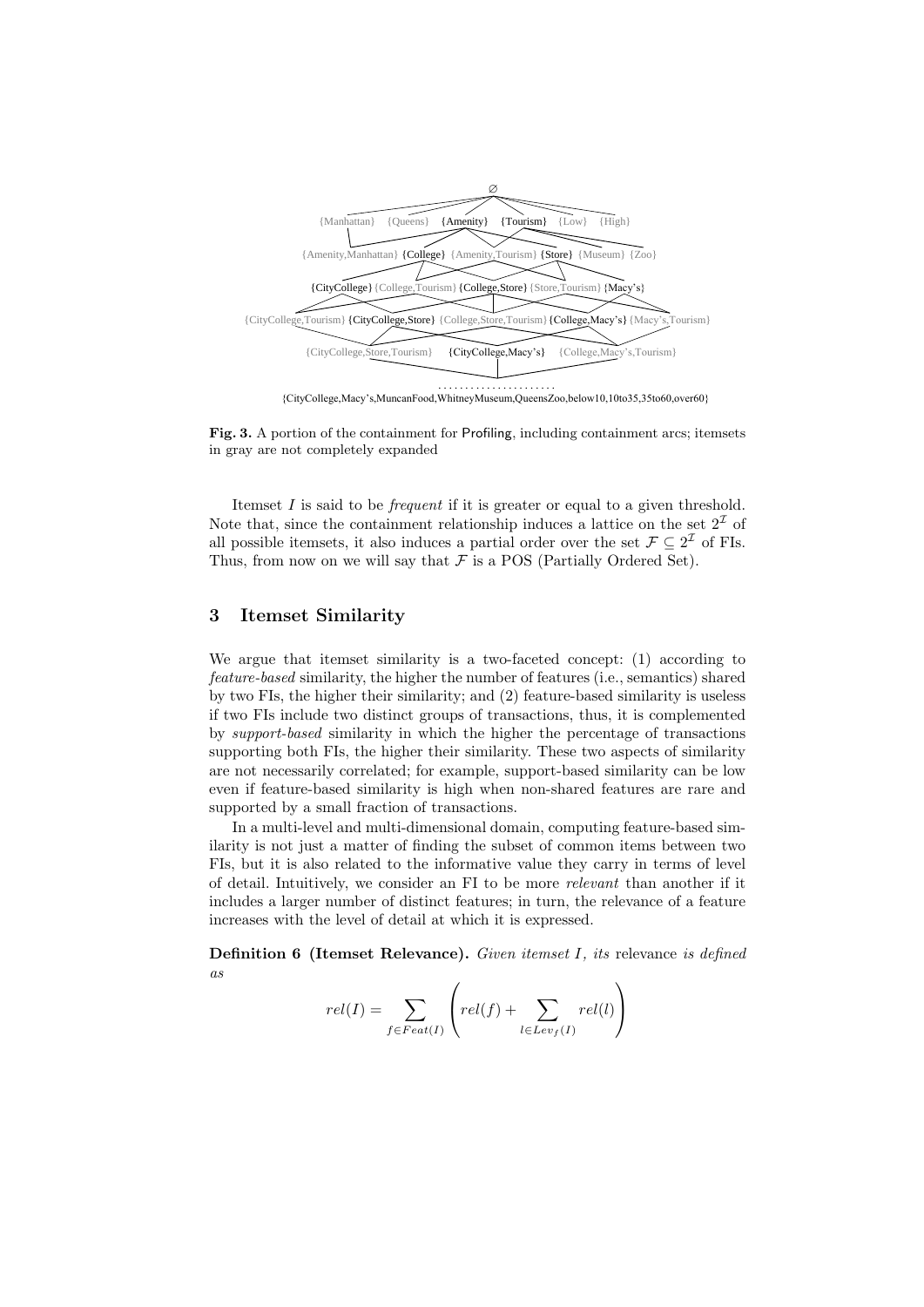

<span id="page-4-1"></span>Fig. 3. A portion of the containment for Profiling, including containment arcs; itemsets in gray are not completely expanded

Itemset  $I$  is said to be *frequent* if it is greater or equal to a given threshold. Note that, since the containment relationship induces a lattice on the set  $2<sup>\mathcal{I}</sup>$  of all possible itemsets, it also induces a partial order over the set  $\mathcal{F} \subseteq 2^{\mathcal{I}}$  of FIs. Thus, from now on we will say that  $\mathcal F$  is a POS (Partially Ordered Set).

#### <span id="page-4-0"></span>3 Itemset Similarity

We argue that itemset similarity is a two-faceted concept: (1) according to feature-based similarity, the higher the number of features (i.e., semantics) shared by two FIs, the higher their similarity; and (2) feature-based similarity is useless if two FIs include two distinct groups of transactions, thus, it is complemented by support-based similarity in which the higher the percentage of transactions supporting both FIs, the higher their similarity. These two aspects of similarity are not necessarily correlated; for example, support-based similarity can be low even if feature-based similarity is high when non-shared features are rare and supported by a small fraction of transactions.

In a multi-level and multi-dimensional domain, computing feature-based similarity is not just a matter of finding the subset of common items between two FIs, but it is also related to the informative value they carry in terms of level of detail. Intuitively, we consider an FI to be more relevant than another if it includes a larger number of distinct features; in turn, the relevance of a feature increases with the level of detail at which it is expressed.

Definition 6 (Itemset Relevance). Given itemset I, its relevance is defined as

$$
rel(I) = \sum_{f \in Feat(I)} \left( rel(f) + \sum_{l \in Lev_f(I)} rel(l) \right)
$$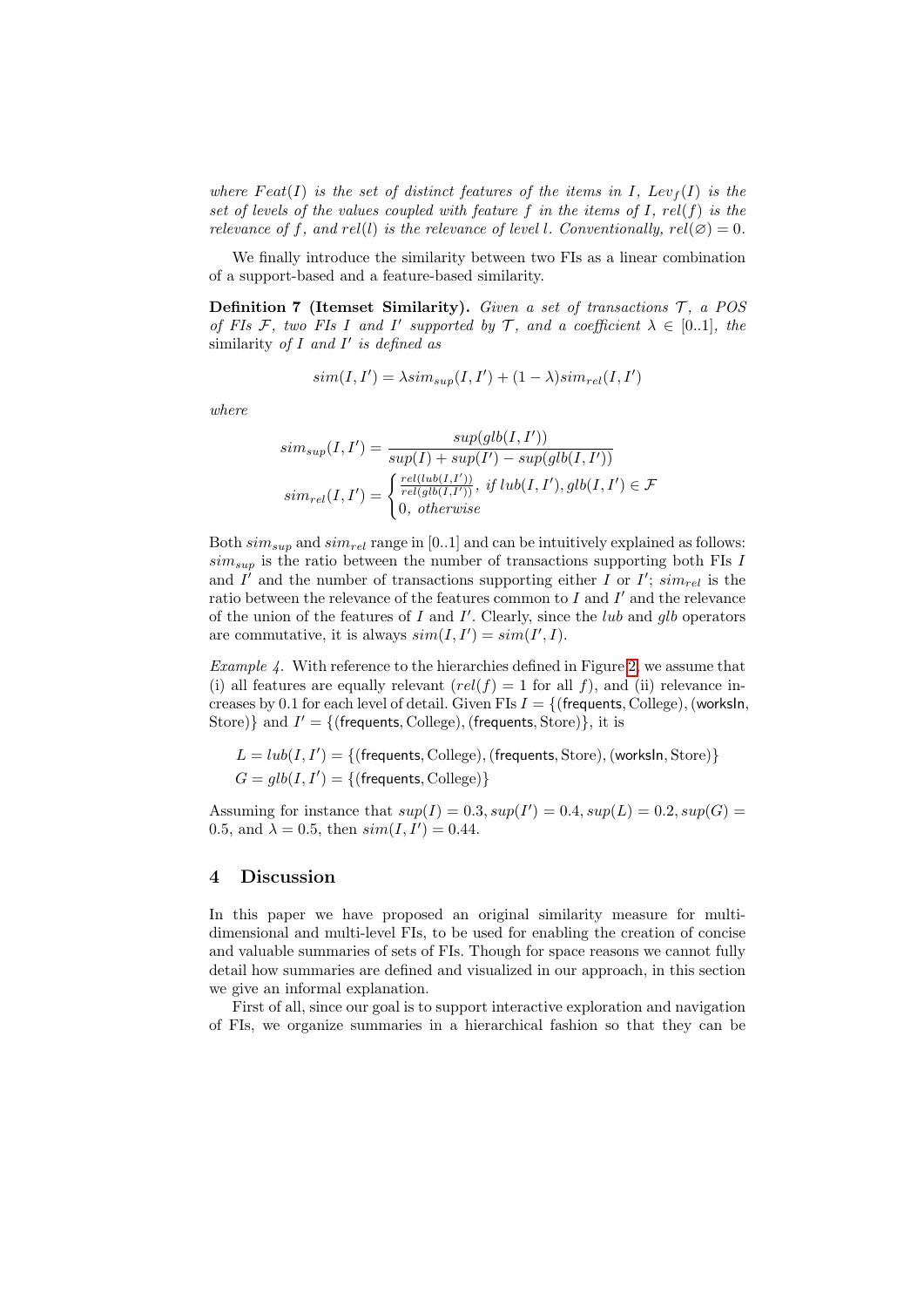where Feat(I) is the set of distinct features of the items in I,  $Lev_f(I)$  is the set of levels of the values coupled with feature f in the items of I,  $rel(f)$  is the relevance of f, and rel(l) is the relevance of level l. Conventionally,  $rel(\emptyset) = 0$ .

We finally introduce the similarity between two FIs as a linear combination of a support-based and a feature-based similarity.

**Definition 7 (Itemset Similarity).** Given a set of transactions  $\mathcal{T}$ , a POS of FIs F, two FIs I and I' supported by T, and a coefficient  $\lambda \in [0..1]$ , the similarity of  $I$  and  $I'$  is defined as

$$
sim(I, I') = \lambda sim_{sup}(I, I') + (1 - \lambda) sim_{rel}(I, I')
$$

where

$$
sim_{sup}(I, I') = \frac{sup(glb(I, I'))}{sup(I) + sup(I') - sup(glb(I, I'))}
$$

$$
sim_{rel}(I, I') = \begin{cases} \frac{rel(lub(I, I'))}{rel(lub(I, I'))}, & if lub(I, I'), glb(I, I') \in \mathcal{F} \\ 0, & otherwise \end{cases}
$$

Both  $\sin s_{\text{sup}}$  and  $\sin r_{\text{rel}}$  range in [0..1] and can be intuitively explained as follows:  $sim_{sup}$  is the ratio between the number of transactions supporting both FIs I and  $I^{\prime}$  and the number of transactions supporting either I or I';  $sim_{rel}$  is the ratio between the relevance of the features common to  $I$  and  $I'$  and the relevance of the union of the features of  $I$  and  $I'$ . Clearly, since the *lub* and  $glb$  operators are commutative, it is always  $sim(I, I') = sim(I', I)$ .

Example 4. With reference to the hierarchies defined in Figure [2,](#page-3-0) we assume that (i) all features are equally relevant  $rel(f) = 1$  for all f), and (ii) relevance increases by 0.1 for each level of detail. Given FIs  $I = \{$  (frequents, College), (worksln, Store) and  $I' = \{$  (frequents, College), (frequents, Store) }, it is

$$
L = lub(I, I') = \{(\text{frequencies}, \text{College}), (\text{frequencies}, \text{Store}), (\text{worksIn}, \text{Store})\}
$$
  

$$
G = glb(I, I') = \{(\text{frequencies}, \text{College})\}
$$

Assuming for instance that  $sup(I) = 0.3, sup(I') = 0.4, sup(L) = 0.2, sup(G) =$ 0.5, and  $\lambda = 0.5$ , then  $sim(I, I') = 0.44$ .

### <span id="page-5-0"></span>4 Discussion

In this paper we have proposed an original similarity measure for multidimensional and multi-level FIs, to be used for enabling the creation of concise and valuable summaries of sets of FIs. Though for space reasons we cannot fully detail how summaries are defined and visualized in our approach, in this section we give an informal explanation.

First of all, since our goal is to support interactive exploration and navigation of FIs, we organize summaries in a hierarchical fashion so that they can be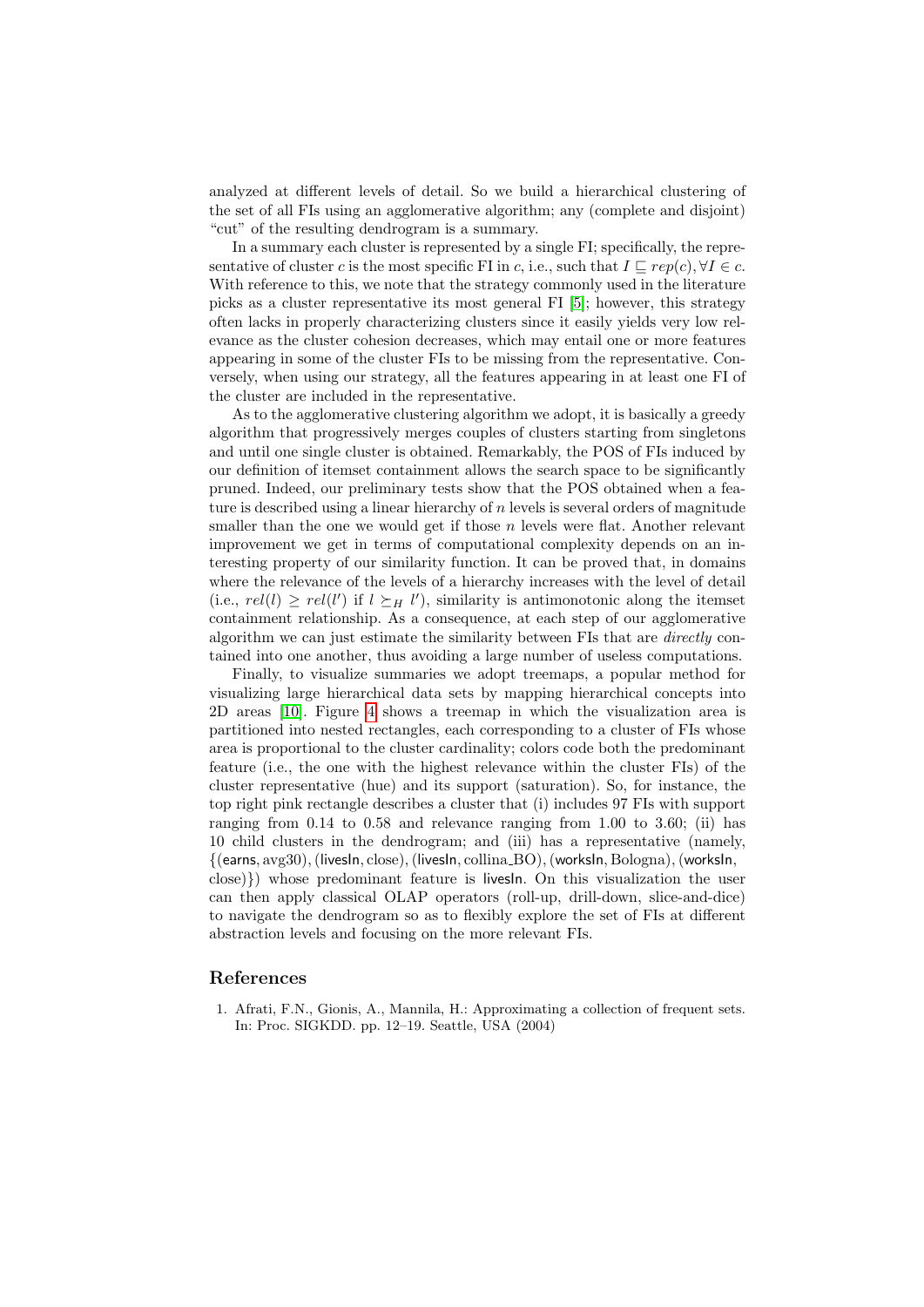analyzed at different levels of detail. So we build a hierarchical clustering of the set of all FIs using an agglomerative algorithm; any (complete and disjoint) "cut" of the resulting dendrogram is a summary.

In a summary each cluster is represented by a single FI; specifically, the representative of cluster c is the most specific FI in c, i.e., such that  $I \sqsubseteq rep(c), \forall I \in c$ . With reference to this, we note that the strategy commonly used in the literature picks as a cluster representative its most general FI [\[5\]](#page-7-4); however, this strategy often lacks in properly characterizing clusters since it easily yields very low relevance as the cluster cohesion decreases, which may entail one or more features appearing in some of the cluster FIs to be missing from the representative. Conversely, when using our strategy, all the features appearing in at least one FI of the cluster are included in the representative.

As to the agglomerative clustering algorithm we adopt, it is basically a greedy algorithm that progressively merges couples of clusters starting from singletons and until one single cluster is obtained. Remarkably, the POS of FIs induced by our definition of itemset containment allows the search space to be significantly pruned. Indeed, our preliminary tests show that the POS obtained when a feature is described using a linear hierarchy of  $n$  levels is several orders of magnitude smaller than the one we would get if those  $n$  levels were flat. Another relevant improvement we get in terms of computational complexity depends on an interesting property of our similarity function. It can be proved that, in domains where the relevance of the levels of a hierarchy increases with the level of detail (i.e.,  $rel(l) \geq rel(l')$  if  $l \succeq_H l'$ ), similarity is antimonotonic along the itemset containment relationship. As a consequence, at each step of our agglomerative algorithm we can just estimate the similarity between FIs that are directly contained into one another, thus avoiding a large number of useless computations.

Finally, to visualize summaries we adopt treemaps, a popular method for visualizing large hierarchical data sets by mapping hierarchical concepts into 2D areas [\[10\]](#page-7-12). Figure [4](#page-7-13) shows a treemap in which the visualization area is partitioned into nested rectangles, each corresponding to a cluster of FIs whose area is proportional to the cluster cardinality; colors code both the predominant feature (i.e., the one with the highest relevance within the cluster FIs) of the cluster representative (hue) and its support (saturation). So, for instance, the top right pink rectangle describes a cluster that (i) includes 97 FIs with support ranging from 0.14 to 0.58 and relevance ranging from 1.00 to 3.60; (ii) has 10 child clusters in the dendrogram; and (iii) has a representative (namely, {(earns, avg30),(livesIn, close),(livesIn, collina BO),(worksIn, Bologna),(worksIn, close)}) whose predominant feature is livesIn. On this visualization the user can then apply classical OLAP operators (roll-up, drill-down, slice-and-dice) to navigate the dendrogram so as to flexibly explore the set of FIs at different abstraction levels and focusing on the more relevant FIs.

## References

<span id="page-6-0"></span>1. Afrati, F.N., Gionis, A., Mannila, H.: Approximating a collection of frequent sets. In: Proc. SIGKDD. pp. 12–19. Seattle, USA (2004)